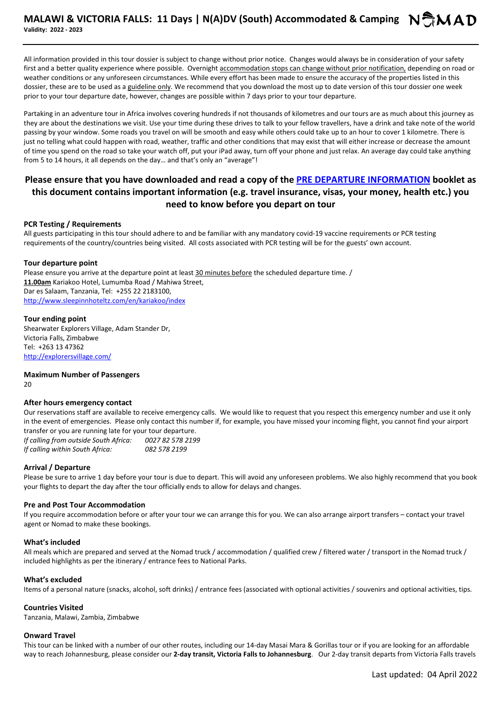All information provided in this tour dossier is subject to change without prior notice. Changes would always be in consideration of your safety first and a better quality experience where possible. Overnight accommodation stops can change without prior notification, depending on road or weather conditions or any unforeseen circumstances. While every effort has been made to ensure the accuracy of the properties listed in this dossier, these are to be used as a guideline only. We recommend that you download the most up to date version of this tour dossier one week prior to your tour departure date, however, changes are possible within 7 days prior to your tour departure.

Partaking in an adventure tour in Africa involves covering hundreds if not thousands of kilometres and our tours are as much about this journey as they are about the destinations we visit. Use your time during these drives to talk to your fellow travellers, have a drink and take note of the world passing by your window. Some roads you travel on will be smooth and easy while others could take up to an hour to cover 1 kilometre. There is just no telling what could happen with road, weather, traffic and other conditions that may exist that will either increase or decrease the amount of time you spend on the road so take your watch off, put your iPad away, turn off your phone and just relax. An average day could take anything from 5 to 14 hours, it all depends on the day… and that's only an "average"!

# **Please ensure that you have downloaded and read a copy of the PRE DEPARTURE INFORMATION booklet as this document contains important information (e.g. travel insurance, visas, your money, health etc.) you need to know before you depart on tour**

## **PCR Testing / Requirements**

All guests participating in this tour should adhere to and be familiar with any mandatory covid-19 vaccine requirements or PCR testing requirements of the country/countries being visited. All costs associated with PCR testing will be for the guests' own account.

## **Tour departure point**

Please ensure you arrive at the departure point at least 30 minutes before the scheduled departure time. / **11.00am** Kariakoo Hotel, Lumumba Road / Mahiwa Street, Dar es Salaam, Tanzania, Tel: +255 22 2183100, http://www.sleepinnhoteltz.com/en/kariakoo/index

# **Tour ending point**

Shearwater Explorers Village, Adam Stander Dr, Victoria Falls, Zimbabwe Tel: +263 13 47362 http://explorersvillage.com/

**Maximum Number of Passengers**  20

## **After hours emergency contact**

Our reservations staff are available to receive emergency calls. We would like to request that you respect this emergency number and use it only in the event of emergencies. Please only contact this number if, for example, you have missed your incoming flight, you cannot find your airport transfer or you are running late for your tour departure.

*If calling from outside South Africa: 0027 82 578 2199 If calling within South Africa: 082 578 2199*

# **Arrival / Departure**

Please be sure to arrive 1 day before your tour is due to depart. This will avoid any unforeseen problems. We also highly recommend that you book your flights to depart the day after the tour officially ends to allow for delays and changes.

## **Pre and Post Tour Accommodation**

If you require accommodation before or after your tour we can arrange this for you. We can also arrange airport transfers – contact your travel agent or Nomad to make these bookings.

## **What's included**

All meals which are prepared and served at the Nomad truck / accommodation / qualified crew / filtered water / transport in the Nomad truck / included highlights as per the itinerary / entrance fees to National Parks.

## **What's excluded**

Items of a personal nature (snacks, alcohol, soft drinks) / entrance fees (associated with optional activities / souvenirs and optional activities, tips.

## **Countries Visited**

Tanzania, Malawi, Zambia, Zimbabwe

## **Onward Travel**

This tour can be linked with a number of our other routes, including our 14-day Masai Mara & Gorillas tour or if you are looking for an affordable way to reach Johannesburg, please consider our **2-day transit, Victoria Falls to Johannesburg**. Our 2-day transit departs from Victoria Falls travels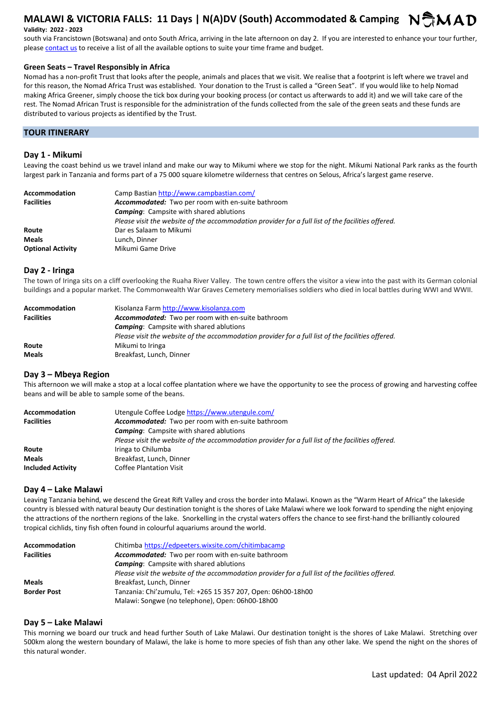# **MALAWI & VICTORIA FALLS: 11 Days | N(A)DV (South) Accommodated & Camping**  $N$ **MAD**

# **Validity: 2022 - 2023**

south via Francistown (Botswana) and onto South Africa, arriving in the late afternoon on day 2. If you are interested to enhance your tour further, please contact us to receive a list of all the available options to suite your time frame and budget.

# **Green Seats – Travel Responsibly in Africa**

Nomad has a non-profit Trust that looks after the people, animals and places that we visit. We realise that a footprint is left where we travel and for this reason, the Nomad Africa Trust was established. Your donation to the Trust is called a "Green Seat". If you would like to help Nomad making Africa Greener, simply choose the tick box during your booking process (or contact us afterwards to add it) and we will take care of the rest. The Nomad African Trust is responsible for the administration of the funds collected from the sale of the green seats and these funds are distributed to various projects as identified by the Trust.

# **TOUR ITINERARY**

# **Day 1 - Mikumi**

Leaving the coast behind us we travel inland and make our way to Mikumi where we stop for the night. Mikumi National Park ranks as the fourth largest park in Tanzania and forms part of a 75 000 square kilometre wilderness that centres on Selous, Africa's largest game reserve.

| <b>Accommodation</b>     | Camp Bastian http://www.campbastian.com/                                                          |
|--------------------------|---------------------------------------------------------------------------------------------------|
| <b>Facilities</b>        | <b>Accommodated:</b> Two per room with en-suite bathroom                                          |
|                          | <b>Camping:</b> Campsite with shared ablutions                                                    |
|                          | Please visit the website of the accommodation provider for a full list of the facilities offered. |
| Route                    | Dar es Salaam to Mikumi                                                                           |
| <b>Meals</b>             | Lunch, Dinner                                                                                     |
| <b>Optional Activity</b> | Mikumi Game Drive                                                                                 |

## **Day 2 - Iringa**

The town of Iringa sits on a cliff overlooking the Ruaha River Valley. The town centre offers the visitor a view into the past with its German colonial buildings and a popular market. The Commonwealth War Graves Cemetery memorialises soldiers who died in local battles during WWI and WWII.

| <b>Accommodation</b> | Kisolanza Farm http://www.kisolanza.com                                                           |
|----------------------|---------------------------------------------------------------------------------------------------|
| <b>Facilities</b>    | <b>Accommodated:</b> Two per room with en-suite bathroom                                          |
|                      | <b>Camping:</b> Campsite with shared ablutions                                                    |
|                      | Please visit the website of the accommodation provider for a full list of the facilities offered. |
| Route                | Mikumi to Iringa                                                                                  |
| <b>Meals</b>         | Breakfast, Lunch, Dinner                                                                          |

# **Day 3 – Mbeya Region**

This afternoon we will make a stop at a local coffee plantation where we have the opportunity to see the process of growing and harvesting coffee beans and will be able to sample some of the beans.

| Accommodation            | Utengule Coffee Lodge https://www.utengule.com/                                                   |
|--------------------------|---------------------------------------------------------------------------------------------------|
| <b>Facilities</b>        | Accommodated: Two per room with en-suite bathroom                                                 |
|                          | <b>Camping:</b> Campsite with shared ablutions                                                    |
|                          | Please visit the website of the accommodation provider for a full list of the facilities offered. |
| Route                    | Iringa to Chilumba                                                                                |
| <b>Meals</b>             | Breakfast, Lunch, Dinner                                                                          |
| <b>Included Activity</b> | <b>Coffee Plantation Visit</b>                                                                    |

## **Day 4 – Lake Malawi**

Leaving Tanzania behind, we descend the Great Rift Valley and cross the border into Malawi. Known as the "Warm Heart of Africa" the lakeside country is blessed with natural beauty Our destination tonight is the shores of Lake Malawi where we look forward to spending the night enjoying the attractions of the northern regions of the lake. Snorkelling in the crystal waters offers the chance to see first-hand the brilliantly coloured tropical cichlids, tiny fish often found in colourful aquariums around the world.

| <b>Accommodation</b> | Chitimba https://edpeeters.wixsite.com/chitimbacamp                                               |
|----------------------|---------------------------------------------------------------------------------------------------|
| <b>Facilities</b>    | Accommodated: Two per room with en-suite bathroom                                                 |
|                      | <b>Camping:</b> Campsite with shared ablutions                                                    |
|                      | Please visit the website of the accommodation provider for a full list of the facilities offered. |
| <b>Meals</b>         | Breakfast, Lunch, Dinner                                                                          |
| <b>Border Post</b>   | Tanzania: Chi'zumulu, Tel: +265 15 357 207, Open: 06h00-18h00                                     |
|                      | Malawi: Songwe (no telephone), Open: 06h00-18h00                                                  |

## **Day 5 – Lake Malawi**

This morning we board our truck and head further South of Lake Malawi. Our destination tonight is the shores of Lake Malawi. Stretching over 500km along the western boundary of Malawi, the lake is home to more species of fish than any other lake. We spend the night on the shores of this natural wonder.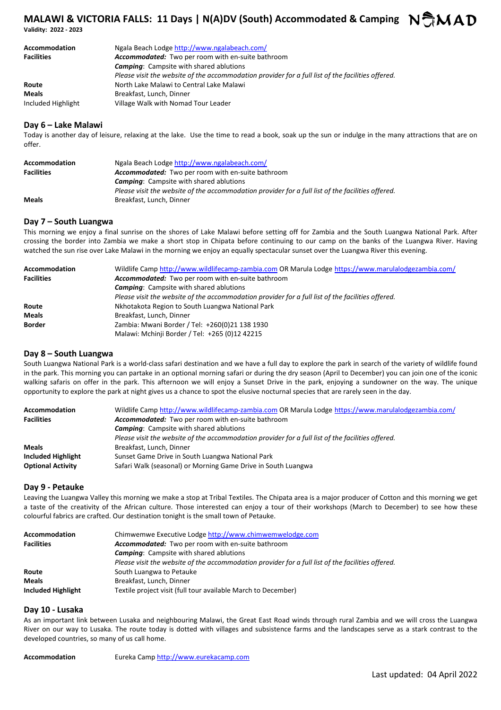# **MALAWI & VICTORIA FALLS: 11 Days | N(A)DV (South) Accommodated & Camping**  $N$ **MAD**

**Validity: 2022 - 2023** 

| Accommodation      | Ngala Beach Lodge http://www.ngalabeach.com/                                                      |
|--------------------|---------------------------------------------------------------------------------------------------|
| <b>Facilities</b>  | Accommodated: Two per room with en-suite bathroom                                                 |
|                    | <b>Camping:</b> Campsite with shared ablutions                                                    |
|                    | Please visit the website of the accommodation provider for a full list of the facilities offered. |
| Route              | North Lake Malawi to Central Lake Malawi                                                          |
| Meals              | Breakfast, Lunch, Dinner                                                                          |
| Included Highlight | Village Walk with Nomad Tour Leader                                                               |

# **Day 6 – Lake Malawi**

Today is another day of leisure, relaxing at the lake. Use the time to read a book, soak up the sun or indulge in the many attractions that are on offer.

| Accommodation     | Ngala Beach Lodge http://www.ngalabeach.com/                                                      |
|-------------------|---------------------------------------------------------------------------------------------------|
| <b>Facilities</b> | Accommodated: Two per room with en-suite bathroom                                                 |
|                   | <b>Camping:</b> Campsite with shared ablutions                                                    |
|                   | Please visit the website of the accommodation provider for a full list of the facilities offered. |
| <b>Meals</b>      | Breakfast, Lunch, Dinner                                                                          |

# **Day 7 – South Luangwa**

This morning we enjoy a final sunrise on the shores of Lake Malawi before setting off for Zambia and the South Luangwa National Park. After crossing the border into Zambia we make a short stop in Chipata before continuing to our camp on the banks of the Luangwa River. Having watched the sun rise over Lake Malawi in the morning we enjoy an equally spectacular sunset over the Luangwa River this evening.

| <b>Accommodation</b> | Wildlife Camp http://www.wildlifecamp-zambia.com OR Marula Lodge https://www.marulalodgezambia.com/ |  |
|----------------------|-----------------------------------------------------------------------------------------------------|--|
| <b>Facilities</b>    | Accommodated: Two per room with en-suite bathroom                                                   |  |
|                      | <b>Camping:</b> Campsite with shared ablutions                                                      |  |
|                      | Please visit the website of the accommodation provider for a full list of the facilities offered.   |  |
| Route                | Nkhotakota Region to South Luangwa National Park                                                    |  |
| <b>Meals</b>         | Breakfast, Lunch, Dinner                                                                            |  |
| <b>Border</b>        | Zambia: Mwani Border / Tel: +260(0)21 138 1930                                                      |  |
|                      | Malawi: Mchinji Border / Tel: +265 (0)12 42215                                                      |  |

# **Day 8 – South Luangwa**

South Luangwa National Park is a world-class safari destination and we have a full day to explore the park in search of the variety of wildlife found in the park. This morning you can partake in an optional morning safari or during the dry season (April to December) you can join one of the iconic walking safaris on offer in the park. This afternoon we will enjoy a Sunset Drive in the park, enjoying a sundowner on the way. The unique opportunity to explore the park at night gives us a chance to spot the elusive nocturnal species that are rarely seen in the day.

| Wildlife Camp http://www.wildlifecamp-zambia.com OR Marula Lodge https://www.marulalodgezambia.com/ |
|-----------------------------------------------------------------------------------------------------|
| Accommodated: Two per room with en-suite bathroom                                                   |
| <b>Camping:</b> Campsite with shared ablutions                                                      |
| Please visit the website of the accommodation provider for a full list of the facilities offered.   |
| Breakfast, Lunch, Dinner                                                                            |
| Sunset Game Drive in South Luangwa National Park                                                    |
| Safari Walk (seasonal) or Morning Game Drive in South Luangwa                                       |
|                                                                                                     |

## **Day 9 - Petauke**

Leaving the Luangwa Valley this morning we make a stop at Tribal Textiles. The Chipata area is a major producer of Cotton and this morning we get a taste of the creativity of the African culture. Those interested can enjoy a tour of their workshops (March to December) to see how these colourful fabrics are crafted. Our destination tonight is the small town of Petauke.

| Accommodation      | Chimwemwe Executive Lodge http://www.chimwemwelodge.com                                           |
|--------------------|---------------------------------------------------------------------------------------------------|
| <b>Facilities</b>  | <b>Accommodated:</b> Two per room with en-suite bathroom                                          |
|                    | <b>Camping:</b> Campsite with shared ablutions                                                    |
|                    | Please visit the website of the accommodation provider for a full list of the facilities offered. |
| Route              | South Luangwa to Petauke                                                                          |
| <b>Meals</b>       | Breakfast, Lunch, Dinner                                                                          |
| Included Highlight | Textile project visit (full tour available March to December)                                     |

# **Day 10 - Lusaka**

As an important link between Lusaka and neighbouring Malawi, the Great East Road winds through rural Zambia and we will cross the Luangwa River on our way to Lusaka. The route today is dotted with villages and subsistence farms and the landscapes serve as a stark contrast to the developed countries, so many of us call home.

**Accommodation** Eureka Camp http://www.eurekacamp.com